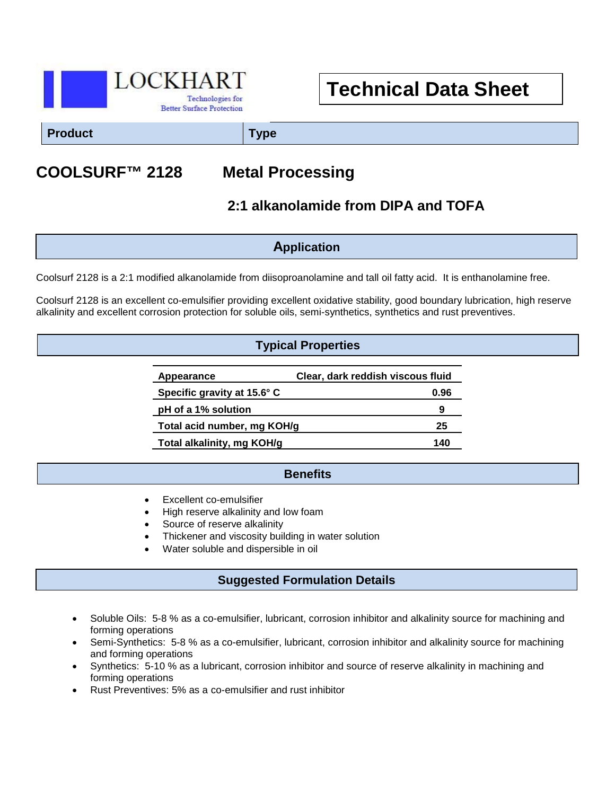

# **Technical Data Sheet**

**Product Type**

# **COOLSURF™ 2128 Metal Processing**

## **2:1 alkanolamide from DIPA and TOFA**

**Application**

Coolsurf 2128 is a 2:1 modified alkanolamide from diisoproanolamine and tall oil fatty acid. It is enthanolamine free.

Coolsurf 2128 is an excellent co-emulsifier providing excellent oxidative stability, good boundary lubrication, high reserve alkalinity and excellent corrosion protection for soluble oils, semi-synthetics, synthetics and rust preventives.

#### **Typical Properties**

| Appearance                  | Clear, dark reddish viscous fluid |
|-----------------------------|-----------------------------------|
| Specific gravity at 15.6° C | 0.96                              |
| pH of a 1% solution         | 9                                 |
| Total acid number, mg KOH/g | 25                                |
| Total alkalinity, mg KOH/g  | 140                               |

#### **Benefits**

- Excellent co-emulsifier
- High reserve alkalinity and low foam
- Source of reserve alkalinity
- Thickener and viscosity building in water solution
- Water soluble and dispersible in oil

#### **Suggested Formulation Details**

- Soluble Oils: 5-8 % as a co-emulsifier, lubricant, corrosion inhibitor and alkalinity source for machining and forming operations
- Semi-Synthetics: 5-8 % as a co-emulsifier, lubricant, corrosion inhibitor and alkalinity source for machining and forming operations
- Synthetics: 5-10 % as a lubricant, corrosion inhibitor and source of reserve alkalinity in machining and forming operations
- Rust Preventives: 5% as a co-emulsifier and rust inhibitor